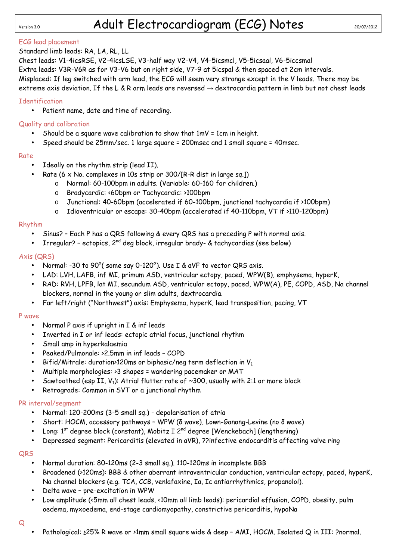# Version 3.0 **Adult Electrocardiogram (ECG) Notes** 20/07/2012

# ECG lead placement

# Standard limb leads: RA, LA, RL, LL

Chest leads: V1-4icsRSE, V2-4icsLSE, V3-half way V2-V4, V4-5icsmcl, V5-5icsaal, V6-5iccsmal Extra leads: V3R-V6R as for V3-V6 but on right side, V7-9 at 5icspal & then spaced at 2cm intervals. Misplaced: If leg switched with arm lead, the ECG will seem very strange except in the V leads. There may be extreme axis deviation. If the L & R arm leads are reversed  $\rightarrow$  dextrocardia pattern in limb but not chest leads

#### **Identification**

• Patient name, date and time of recording.

### Quality and calibration

- Should be a square wave calibration to show that 1mV = 1cm in height.
- Speed should be 25mm/sec. 1 large square = 200msec and 1 small square = 40msec.

#### Rate

- Ideally on the rhythm strip (lead II).
	- Rate (6 x No. complexes in 10s strip or 300/[R-R dist in large sq.])
		- o Normal: 60-100bpm in adults. (Variable: 60-160 for children.)
		- o Bradycardic: <60bpm or Tachycardic: >100bpm
		- o Junctional: 40-60bpm (accelerated if 60-100bpm, junctional tachycardia if >100bpm)
		- o Idioventricular or escape: 30-40bpm (accelerated if 40-110bpm, VT if >110-120bpm)

#### Rhythm

- Sinus? Each P has a QRS following & every QRS has a preceding P with normal axis.
- Irregular? ectopics,  $2^{nd}$  deg block, irregular brady- & tachycardias (see below)

### Axis (QRS)

- Normal: -30 to 90°( some say 0-120°). Use I & aVF to vector QRS axis.
- LAD: LVH, LAFB, inf MI, primum ASD, ventricular ectopy, paced, WPW(B), emphysema, hyperK,
- RAD: RVH, LPFB, lat MI, secundum ASD, ventricular ectopy, paced, WPW(A), PE, COPD, ASD, Na channel blockers, normal in the young or slim adults, dextrocardia.
- Far left/right ("Northwest") axis: Emphysema, hyperK, lead transposition, pacing, VT

#### P wave

- Normal P axis if upright in I & inf leads
- Inverted in I or inf leads: ectopic atrial focus, junctional rhythm
- Small amp in hyperkalaemia
- Peaked/Pulmonale: >2.5mm in inf leads COPD
- Bifid/Mitrale: duration>120ms or biphasic/neg term deflection in  $V_1$
- Multiple morphologies: >3 shapes = wandering pacemaker or MAT
- Sawtoothed (esp II, V<sub>1</sub>): Atrial flutter rate of  $\sim$ 300, usually with 2:1 or more block
- Retrograde: Common in SVT or a junctional rhythm

#### PR interval/segment

- Normal: 120-200ms (3-5 small sq.) depolarisation of atria
- Short: HOCM, accessory pathways WPW (δ wave), Lown-Ganong-Levine (no δ wave)
- Long: 1<sup>st</sup> degree block (constant), Mobitz I 2<sup>nd</sup> degree [Wenckebach] (lengthening)
- Depressed segment: Pericarditis (elevated in aVR), ??infective endocarditis affecting valve ring

#### QRS

- Normal duration: 80-120ms (2-3 small sq.). 110-120ms in incomplete BBB
- Broadened (>120ms): BBB & other aberrant intraventricular conduction, ventricular ectopy, paced, hyperK, Na channel blockers (e.g. TCA, CCB, venlafaxine, Ia, Ic antiarrhythmics, propanolol).
- Delta wave pre-excitation in WPW
- Low amplitude (<5mm all chest leads, <10mm all limb leads): pericardial effusion, COPD, obesity, pulm oedema, myxoedema, end-stage cardiomyopathy, constrictive pericarditis, hypoNa

#### Q

• Pathological: ≥25% R wave or >1mm small square wide & deep – AMI, HOCM. Isolated Q in III: ?normal.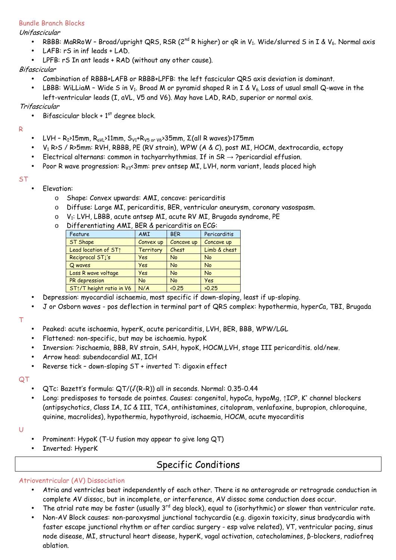### Bundle Branch Blocks

Unifascicular

- RBBB: MaRRoW Broad/upright QRS, RSR (2<sup>nd</sup> R higher) or qR in V<sub>1</sub>. Wide/slurred S in I & V<sub>6</sub>. Normal axis
- LAFB: rS in inf leads + LAD.
- LPFB: rS In ant leads + RAD (without any other cause).

### Bifascicular

- Combination of RBBB+LAFB or RBBB+LPFB: the left fascicular QRS axis deviation is dominant.
- LBBB: WiLLiaM Wide S in V<sub>1</sub>. Broad M or pyramid shaped R in I & V<sub>6</sub> Loss of usual small Q-wave in the left-ventricular leads (I, aVL, V5 and V6). May have LAD, RAD, superior or normal axis.

### Trifascicular

• Bifascicular block +  $1<sup>st</sup>$  degree block.

#### R

- LVH R<sub>I</sub>>15mm, R<sub>aVL</sub>>11mm, S<sub>V1</sub>+R<sub>V5 or V6</sub>>35mm, Σ(all R waves)>175mm
- $V_1$  R>S / R>5mm: RVH, RBBB, PE (RV strain), WPW (A & C), post MI, HOCM, dextrocardia, ectopy
- Electrical alternans: common in tachyarrhythmias. If in  $SR \rightarrow$  ?pericardial effusion.
- Poor R wave progression:  $R_{V3}$ <3mm: prev antsep MI, LVH, norm variant, leads placed high

#### **ST**

- Elevation:
	- o Shape: Convex upwards: AMI, concave: pericarditis
	- o Diffuse: Large MI, pericarditis, BER, ventricular aneurysm, coronary vasospasm.
	- $\circ$  V1: LVH, LBBB, acute antsep MI, acute RV MI, Brugada syndrome, PE
	- $\circ$  Differentiating AMI, BFR & pericarditis on FCG:

| Feature                               | <b>AMI</b>       | <b>BER</b> | Pericarditis |  |  |  |
|---------------------------------------|------------------|------------|--------------|--|--|--|
| <b>ST Shape</b>                       | Convex up        | Concave up | Concave up   |  |  |  |
| Lead location of ST1                  | <b>Territory</b> | Chest      | Limb & chest |  |  |  |
| Reciprocal STI's                      | Yes              | No         | <b>No</b>    |  |  |  |
| Q waves                               | Yes              | <b>No</b>  | <b>No</b>    |  |  |  |
| Loss R wave voltage                   | Yes              | <b>No</b>  | <b>No</b>    |  |  |  |
| PR depression                         | <b>No</b>        | <b>No</b>  | <b>Yes</b>   |  |  |  |
| ST <sub>1</sub> /T height ratio in V6 | N/A              | <0.25      | 20.25        |  |  |  |

- Depression: myocardial ischaemia, most specific if down-sloping, least if up-sloping.
- J or Osborn waves pos deflection in terminal part of QRS complex: hypothermia, hyperCa, TBI, Brugada

#### T

- Peaked: acute ischaemia, hyperK, acute pericarditis, LVH, BER, BBB, WPW/LGL
- Flattened: non-specific, but may be ischaemia. hypoK
- Inversion: ?ischaemia, BBB, RV strain, SAH, hypoK, HOCM,LVH, stage III pericarditis. old/new.
- Arrow head: subendocardial MI, ICH
- Reverse tick down-sloping ST + inverted T: digoxin effect

#### QT

- QTc: Bazett's formula: QT/(√(R-R)) all in seconds. Normal: 0.35-0.44
- Long: predisposes to torsade de pointes. Causes: congenital, hypoCa, hypoMg, ↑ICP, K<sup>+</sup> channel blockers (antipsychotics, Class IA, IC & III, TCA, antihistamines, citalopram, venlafaxine, bupropion, chloroquine, quinine, macrolides), hypothermia, hypothyroid, ischaemia, HOCM, acute myocarditis
- U
- Prominent: HypoK (T-U fusion may appear to give long QT)
- Inverted: HyperK

# Specific Conditions

# Atrioventricular (AV) Dissociation

- Atria and ventricles beat independently of each other. There is no anterograde or retrograde conduction in complete AV dissoc, but in incomplete, or interference, AV dissoc some conduction does occur.
- The atrial rate may be faster (usually  $3^{rd}$  deg block), equal to (isorhythmic) or slower than ventricular rate.
- Non-AV Block causes: non-paroxysmal junctional tachycardia (e.g. digoxin toxicity, sinus bradycardia with faster escape junctional rhythm or after cardiac surgery - esp valve related), VT, ventricular pacing, sinus node disease, MI, structural heart disease, hyperK, vagal activation, catecholamines, β-blockers, radiofreq ablation.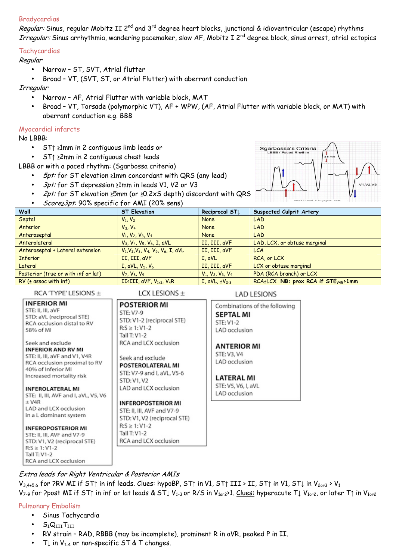#### Bradycardias

Regular: Sinus, regular Mobitz II 2<sup>nd</sup> and 3<sup>rd</sup> degree heart blocks, junctional & idioventricular (escape) rhythms Irregular: Sinus arrhythmia, wandering pacemaker, slow AF, Mobitz I 2<sup>nd</sup> degree block, sinus arrest, atrial ectopics

#### **Tachycardias**

#### Regular

• Narrow – ST, SVT, Atrial flutter

• Broad – VT, (SVT, ST, or Atrial Flutter) with aberrant conduction

Irregular

- Narrow AF, Atrial Flutter with variable block, MAT
- Broad VT, Torsade (polymorphic VT), AF + WPW, (AF, Atrial Flutter with variable block, or MAT) with aberrant conduction e.g. BBB

#### Myocardial infarcts

No LBBB:

- ST↑ ≥1mm in 2 contiguous limb leads or
- ST↑ ≥2mm in 2 contiguous chest leads

LBBB or with a paced rhythm: (Sgarbossa criteria)

- 5pt: for ST elevation ≥1mm concordant with QRS (any lead)
- 3pt: for ST depression ≥1mm in leads V1, V2 or V3
- 2pt: for ST elevation ≥5mm (or ≥0.2xS depth) discordant with QRS
- Score≥3pt: 90% specific for AMI (20% sens)



| Wall                                | <b>ST Elevation</b>                                         | Reciprocal ST1        | Suspected Culprit Artery                        |  |
|-------------------------------------|-------------------------------------------------------------|-----------------------|-------------------------------------------------|--|
| Septal                              | $V_1$ , $V_2$                                               | <b>None</b>           | <b>LAD</b>                                      |  |
| Anterior                            | $V_3$ , $V_4$                                               | <b>None</b>           | <b>LAD</b>                                      |  |
| Anteroseptal                        | $V_1, V_2, V_3, V_4$                                        | None                  | <b>LAD</b>                                      |  |
| Anterolateral                       | $V_3$ , $V_4$ , $V_5$ , $V_6$ , I, aVL                      | II, III, aVF          | LAD, LCX, or obtuse marginal                    |  |
| Anteroseptal + Lateral extension    | $V_1, V_2, V_3, V_4, V_5, V_6, I, aVL$                      | II, III, aVF          | <b>LCA</b>                                      |  |
| <b>Inferior</b>                     | II, III, aVF                                                | I. aVL                | RCA, or LCX                                     |  |
| Lateral                             | $I, aVL, V_5, V_6$                                          | II, III, aVF          | LCX or obtuse marginal                          |  |
| Posterior (true or with inf or lat) | $V_7, V_8, V_9$                                             | $V_1, V_2, V_3, V_4$  | PDA (RCA branch) or LCX                         |  |
| $RV$ ( $\pm$ assoc with inf)        | II <iii, <math="" avf,="">V_{1+2}, <math>V_4R</math></iii,> | $I, aVL, \pm V_{2-3}$ | RCA±LCX NB: prox RCA if STE <sub>V4R</sub> >1mm |  |

**LAD LESIONS** 

RCA 'TYPE' LESIONS ±

LCX LESIONS  $\pm$ 

| <b>INFERIOR MI</b><br>STE: II, III, aVF<br>STD: aVL (reciprocal STE)<br>RCA occlusion distal to RV<br>58% of MI                                                                                                                                                                                                                                                | <b>POSTERIOR MI</b><br>STE: V7-9<br>STD: V1-2 (reciprocal STE)<br>$R: S \geq 1: V1 - 2$<br>Tall T: V1-2                                                                                                                                                                                           | Combinations of the following<br><b>SEPTAL MI</b><br>STE: V1-2<br>LAD occlusion                          |
|----------------------------------------------------------------------------------------------------------------------------------------------------------------------------------------------------------------------------------------------------------------------------------------------------------------------------------------------------------------|---------------------------------------------------------------------------------------------------------------------------------------------------------------------------------------------------------------------------------------------------------------------------------------------------|----------------------------------------------------------------------------------------------------------|
| Seek and exclude<br><b>INFERIOR AND RV MI</b><br>STE: II, III, aVF and V1, V4R<br>RCA occlusion proximal to RV<br>40% of Inferior MI<br>Increased mortality risk<br><b>INFEROLATERAL MI</b><br>STE: II, III, AVF and I, aVL, V5, V6<br>$\pm$ V4R<br>LAD and LCX occlusion<br>in a L dominant system<br><b>INFEROPOSTERIOR MI</b><br>STE: II, III, AVF and V7-9 | RCA and LCX occlusion<br>Seek and exclude<br>POSTEROLATERAL MI<br>STE: V7-9 and I, aVL, V5-6<br>STD: V1, V2<br>LAD and LCX occlusion<br><b>INFEROPOSTERIOR MI</b><br>STE: II, III, AVF and V7-9<br>STD: V1, V2 (reciprocal STE)<br>$R: S \geq 1: V1 - 2$<br>Tall T: V1-2<br>RCA and LCX occlusion | <b>ANTERIOR MI</b><br>STE: V3, V4<br>LAD occlusion<br>LATERAL MI<br>STE: V5, V6, I, aVL<br>LAD occlusion |

# Extra leads for Right Ventricular & Posterior AMIs

 $V_{3,4\pm5,6}$  for ?RV MI if ST↑ in inf leads. Clues: hypoBP, ST↑ in V1, ST↑ III > II, ST↑ in V1, ST↓ in V<sub>2or3</sub> > V<sub>1</sub> V<sub>7-9</sub> for ?post MI if ST↑ in inf or lat leads & ST↓ V<sub>1-3</sub> or R/S in V<sub>1or2</sub>>1. Clues: hyperacute T↓ V<sub>1or2</sub>, or later T↑ in V<sub>1or2</sub>

# Pulmonary Embolism

RCA and LCX occlusion

Tall T:  $V1-2$ 

- Sinus Tachycardia
- $S_{I}Q_{III}T_{III}$
- RV strain RAD, RBBB (may be incomplete), prominent R in aVR, peaked P in II.
- T $\downarrow$  in V<sub>1-4</sub> or non-specific ST & T changes.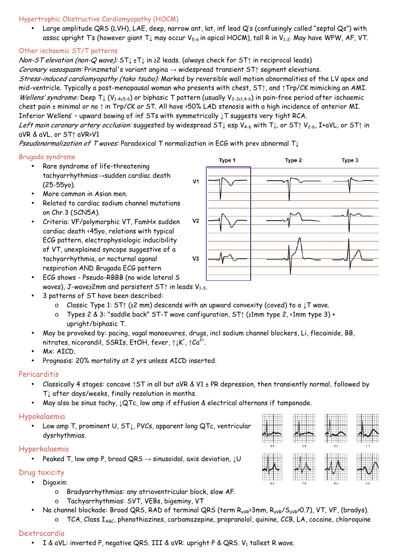#### Hypertrophic Obstructive Cardiomyopathy (HOCM)

• Large amplitude QRS (LVH), LAE, deep, narrow ant, lat, inf lead Q's (confusingly called "septal Qs") with assoc upright T's (however giant T<sub>↓</sub> may occur  $V_{5-6}$  in apical HOCM), tall R in  $V_{1-2}$ . May have WPW, AF, VT.

# Other ischaemic ST/T patterns

Non-ST elevation (non-Q wave): ST1 ±T1 in ≥2 leads. (always check for ST1 in reciprocal leads)

Coronary vasospasm: Prinzmetal's variant angina → widespread transient ST↑ segment elevations.

Stress-induced cardiomyopathy (tako tsubo): Marked by reversible wall motion abnormalities of the LV apex and mid-ventricle. Typically a post-menopausal woman who presents with chest, ST↑, and ↑Trp/CK mimicking an AMI. Wellens' syndrome: Deep  $T\downarrow (V_{1-4+5-6})$  or biphasic T pattern (usually  $V_{2-3+1,4-6}$ ) in pain-free period after ischaemic chest pain ± minimal or no ↑ in Trp/CK or ST. All have >50% LAD stenosis with a high incidence of anterior MI. Inferior Wellens' – upward bowing of inf STs with symmetrically ↓T suggests very tight RCA.

Left main coronary artery occlusion: suggested by widespread ST↓ esp V4-6 with T↓, or ST*↑* V2-6, I+aVL, or ST*↑* in aVR & aVL, or ST*↑* aVR>V1

Pseudonormalization of T waves: Paradoxical T normalization in ECG with prev abnormal  $T \downarrow$ 

### Brugada syndrome

- Rare syndrome of life-threatening tachyarrhythmias→sudden cardiac death (25-55yo).
- More common in Asian men.
- Related to cardiac sodium channel mutations on Chr.3 (SCN5A).
- Criteria: VF/polymorphic VT, FamHx sudden cardiac death <45yo, relations with typical ECG pattern, electrophysiologic inducibility of VT, unexplained syncope suggestive of a tachyarrhythmia, or nocturnal agonal respiration AND Brugada ECG pattern
- ECG shows Pseudo-RBBB (no wide lateral S waves), J-wave≥2mm and persistent  $ST$ ↑ in leads  $V_{1-3}$ .
- 3 patterns of ST have been described:
	- o Classic Type 1: ST↑ (≥2 mm) descends with an upward convexity (coved) to a ↓T wave.
	- o Types 2 & 3: "saddle back" ST-T wave configuration, ST↑ (≥1mm type 2, <1mm type 3) + upright/biphasic T.
- May be provoked by: pacing, vagal manoeuvres, drugs, incl sodium channel blockers, Li, flecainide, BB, nitrates, nicorandil, SSRIs, EtOH, fever,  $\uparrow\downarrow$ K',  $\uparrow$ Ca $^{2+}$ .
- Mx: AICD.
- Prognosis: 20% mortality at 2 yrs unless AICD inserted.

#### **Pericarditis**

- Classically 4 stages: concave ↑ST in all but aVR & V1 ± PR depression, then transiently normal, followed by T↓ after days/weeks, finally resolution in months.
- May also be sinus tachy, ↓QTc, low amp if effusion & electrical alternans if tamponade.

# Hypokalaemia

• Low amp T, prominent U, ST↓, PVCs, apparent long QTc, ventricular dysrhythmias.

# Hyperkalaemia

Peaked T, low amp P, broad QRS  $\rightarrow$  sinusoidal, axis deviation,  $\downarrow \cup$ 

# Drug toxicity

- Digoxin:
	- o Bradyarrhythmias: any atrioventricular block, slow AF.
	- o Tachyarrhythmias: SVT, VEBs, bigeminy, VT
	- Na channel blockade: Broad QRS, RAD of terminal QRS (term R<sub>aVR</sub>>3mm, R<sub>aVR</sub>/S<sub>aVR</sub>>0.7), VT, VF, (bradys).
		- o TCA, Class I<sub>A&C</sub>, phenothiazines, carbamazepine, propranolol, quinine, CCB, LA, cocaine, chloroquine

# Dextrocardia

• I & aVL: inverted P, negative QRS. III & aVR: upright P & QRS.  $\mathsf{V}_1$  tallest R wave.